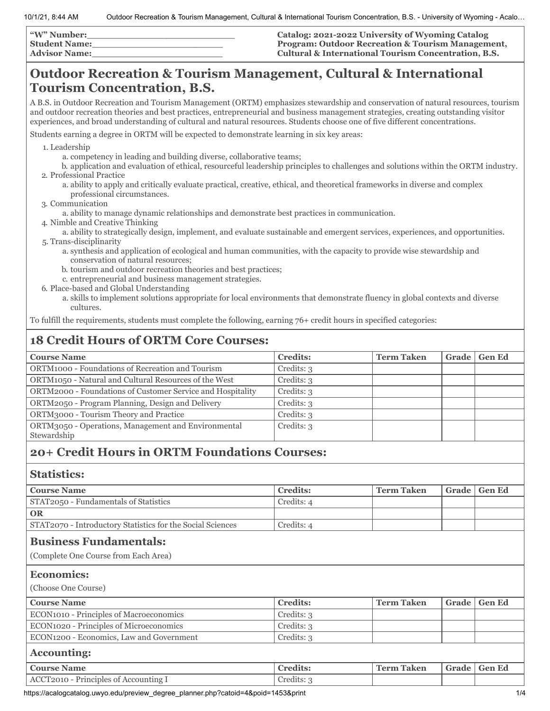| <b><i>W</i></b> " Number: | Catalog: 2021-2022 University of Wyoming Catalog             |
|---------------------------|--------------------------------------------------------------|
| <b>Student Name:</b>      | <b>Program: Outdoor Recreation &amp; Tourism Management,</b> |
| <b>Advisor Name:</b>      | Cultural & International Tourism Concentration, B.S.         |

## **Outdoor Recreation & Tourism Management, Cultural & International Tourism Concentration, B.S.**

A B.S. in Outdoor Recreation and Tourism Management (ORTM) emphasizes stewardship and conservation of natural resources, tourism and outdoor recreation theories and best practices, entrepreneurial and business management strategies, creating outstanding visitor experiences, and broad understanding of cultural and natural resources. Students choose one of five different concentrations.

Students earning a degree in ORTM will be expected to demonstrate learning in six key areas:

1. Leadership

- a. competency in leading and building diverse, collaborative teams;
- b. application and evaluation of ethical, resourceful leadership principles to challenges and solutions within the ORTM industry. 2. Professional Practice
	- a. ability to apply and critically evaluate practical, creative, ethical, and theoretical frameworks in diverse and complex professional circumstances.
- 3. Communication
	- a. ability to manage dynamic relationships and demonstrate best practices in communication.
- 4. Nimble and Creative Thinking
- a. ability to strategically design, implement, and evaluate sustainable and emergent services, experiences, and opportunities. 5. Trans-disciplinarity
	- a. synthesis and application of ecological and human communities, with the capacity to provide wise stewardship and conservation of natural resources;
	- b. tourism and outdoor recreation theories and best practices;
	- c. entrepreneurial and business management strategies.
- 6. Place-based and Global Understanding
	- a. skills to implement solutions appropriate for local environments that demonstrate fluency in global contexts and diverse cultures.

To fulfill the requirements, students must complete the following, earning 76+ credit hours in specified categories:

## **18 Credit Hours of ORTM Core Courses:**

| <b>Course Name</b>                                                 | <b>Credits:</b> | <b>Term Taken</b> | Grade | <b>Gen Ed</b> |
|--------------------------------------------------------------------|-----------------|-------------------|-------|---------------|
| ORTM1000 - Foundations of Recreation and Tourism                   | Credits: 3      |                   |       |               |
| ORTM1050 - Natural and Cultural Resources of the West              | Credits: 3      |                   |       |               |
| ORTM2000 - Foundations of Customer Service and Hospitality         | Credits: 3      |                   |       |               |
| ORTM2050 - Program Planning, Design and Delivery                   | Credits: 3      |                   |       |               |
| ORTM3000 - Tourism Theory and Practice                             | Credits: 3      |                   |       |               |
| ORTM3050 - Operations, Management and Environmental<br>Stewardship | Credits: 3      |                   |       |               |
|                                                                    |                 |                   |       |               |

## **20+ Credit Hours in ORTM Foundations Courses:**

### **Statistics:**

| <b>Course Name</b>                                                                  | <b>Credits:</b> | <b>Term Taken</b> | Grade | <b>Gen Ed</b> |
|-------------------------------------------------------------------------------------|-----------------|-------------------|-------|---------------|
| STAT2050 - Fundamentals of Statistics                                               | Credits: 4      |                   |       |               |
| <b>OR</b>                                                                           |                 |                   |       |               |
| STAT2070 - Introductory Statistics for the Social Sciences                          | Credits: 4      |                   |       |               |
| <b>Business Fundamentals:</b>                                                       |                 |                   |       |               |
| (Complete One Course from Each Area)                                                |                 |                   |       |               |
| <b>Economics:</b>                                                                   |                 |                   |       |               |
|                                                                                     |                 |                   |       |               |
| (Choose One Course)                                                                 |                 |                   |       |               |
|                                                                                     | <b>Credits:</b> | <b>Term Taken</b> | Grade | <b>Gen Ed</b> |
| ECON1010 - Principles of Macroeconomics                                             | Credits: 3      |                   |       |               |
|                                                                                     | Credits: 3      |                   |       |               |
| ECON1200 - Economics, Law and Government                                            | Credits: 3      |                   |       |               |
| <b>Course Name</b><br>ECON1020 - Principles of Microeconomics<br><b>Accounting:</b> |                 |                   |       |               |
| <b>Course Name</b>                                                                  | <b>Credits:</b> | <b>Term Taken</b> | Grade | <b>Gen Ed</b> |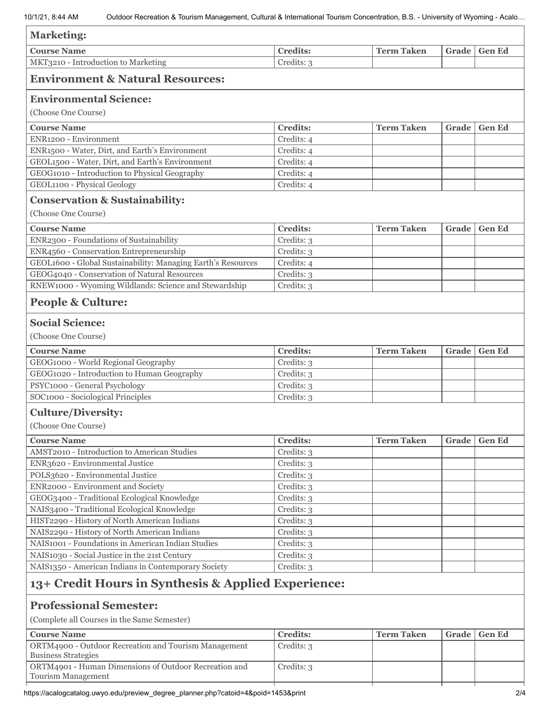| <b>Marketing:</b>                                                                                                                                                                                                                                                                                |                          |                   |       |               |
|--------------------------------------------------------------------------------------------------------------------------------------------------------------------------------------------------------------------------------------------------------------------------------------------------|--------------------------|-------------------|-------|---------------|
| <b>Course Name</b>                                                                                                                                                                                                                                                                               | <b>Credits:</b>          | <b>Term Taken</b> | Grade | <b>Gen Ed</b> |
| MKT3210 - Introduction to Marketing                                                                                                                                                                                                                                                              | Credits: 3               |                   |       |               |
| <b>Environment &amp; Natural Resources:</b>                                                                                                                                                                                                                                                      |                          |                   |       |               |
| <b>Environmental Science:</b>                                                                                                                                                                                                                                                                    |                          |                   |       |               |
| (Choose One Course)                                                                                                                                                                                                                                                                              |                          |                   |       |               |
| <b>Course Name</b>                                                                                                                                                                                                                                                                               | <b>Credits:</b>          | <b>Term Taken</b> | Grade | <b>Gen Ed</b> |
| ENR1200 - Environment                                                                                                                                                                                                                                                                            | Credits: 4               |                   |       |               |
| ENR1500 - Water, Dirt, and Earth's Environment                                                                                                                                                                                                                                                   | Credits: 4               |                   |       |               |
| GEOL1500 - Water, Dirt, and Earth's Environment                                                                                                                                                                                                                                                  | Credits: 4               |                   |       |               |
| GEOG1010 - Introduction to Physical Geography                                                                                                                                                                                                                                                    | Credits: 4               |                   |       |               |
| GEOL1100 - Physical Geology                                                                                                                                                                                                                                                                      | Credits: 4               |                   |       |               |
| <b>Conservation &amp; Sustainability:</b>                                                                                                                                                                                                                                                        |                          |                   |       |               |
| (Choose One Course)                                                                                                                                                                                                                                                                              |                          |                   |       |               |
| <b>Course Name</b>                                                                                                                                                                                                                                                                               | <b>Credits:</b>          | <b>Term Taken</b> | Grade | <b>Gen Ed</b> |
| ENR2300 - Foundations of Sustainability                                                                                                                                                                                                                                                          | Credits: 3               |                   |       |               |
| ENR4560 - Conservation Entrepreneurship                                                                                                                                                                                                                                                          | Credits: 3               |                   |       |               |
| GEOL1600 - Global Sustainability: Managing Earth's Resources                                                                                                                                                                                                                                     | Credits: 4               |                   |       |               |
| GEOG4040 - Conservation of Natural Resources                                                                                                                                                                                                                                                     | Credits: 3               |                   |       |               |
| RNEW1000 - Wyoming Wildlands: Science and Stewardship                                                                                                                                                                                                                                            | Credits: 3               |                   |       |               |
| <b>People &amp; Culture:</b>                                                                                                                                                                                                                                                                     |                          |                   |       |               |
| <b>Social Science:</b>                                                                                                                                                                                                                                                                           |                          |                   |       |               |
| (Choose One Course)                                                                                                                                                                                                                                                                              |                          |                   |       |               |
| <b>Course Name</b>                                                                                                                                                                                                                                                                               | <b>Credits:</b>          | <b>Term Taken</b> | Grade | <b>Gen Ed</b> |
| GEOG1000 - World Regional Geography                                                                                                                                                                                                                                                              | Credits: 3               |                   |       |               |
| GEOG1020 - Introduction to Human Geography                                                                                                                                                                                                                                                       | Credits: 3               |                   |       |               |
| PSYC1000 - General Psychology                                                                                                                                                                                                                                                                    | Credits: 3               |                   |       |               |
| SOC1000 - Sociological Principles                                                                                                                                                                                                                                                                | Credits: 3               |                   |       |               |
| <b>Culture/Diversity:</b>                                                                                                                                                                                                                                                                        |                          |                   |       |               |
| (Choose One Course)                                                                                                                                                                                                                                                                              |                          |                   |       |               |
| <b>Course Name</b>                                                                                                                                                                                                                                                                               | <b>Credits:</b>          | <b>Term Taken</b> | Grade | <b>Gen Ed</b> |
| AMST2010 - Introduction to American Studies                                                                                                                                                                                                                                                      | Credits: 3               |                   |       |               |
| ENR3620 - Environmental Justice                                                                                                                                                                                                                                                                  | Credits: 3               |                   |       |               |
| POLS3620 - Environmental Justice                                                                                                                                                                                                                                                                 | Credits: 3               |                   |       |               |
| ENR2000 - Environment and Society                                                                                                                                                                                                                                                                | Credits: 3               |                   |       |               |
|                                                                                                                                                                                                                                                                                                  |                          |                   |       |               |
|                                                                                                                                                                                                                                                                                                  |                          |                   |       |               |
|                                                                                                                                                                                                                                                                                                  | Credits: 3               |                   |       |               |
|                                                                                                                                                                                                                                                                                                  | Credits: 3               |                   |       |               |
|                                                                                                                                                                                                                                                                                                  | Credits: 3               |                   |       |               |
|                                                                                                                                                                                                                                                                                                  | Credits: 3               |                   |       |               |
|                                                                                                                                                                                                                                                                                                  | Credits: 3<br>Credits: 3 |                   |       |               |
| GEOG3400 - Traditional Ecological Knowledge<br>NAIS3400 - Traditional Ecological Knowledge<br>HIST2290 - History of North American Indians<br>NAIS2290 - History of North American Indians<br>NAIS1001 - Foundations in American Indian Studies<br>NAIS1030 - Social Justice in the 21st Century | Credits: 3               |                   |       |               |
| NAIS1350 - American Indians in Contemporary Society                                                                                                                                                                                                                                              |                          |                   |       |               |
|                                                                                                                                                                                                                                                                                                  |                          |                   |       |               |
|                                                                                                                                                                                                                                                                                                  |                          |                   |       |               |
|                                                                                                                                                                                                                                                                                                  |                          |                   |       |               |
|                                                                                                                                                                                                                                                                                                  | <b>Credits:</b>          | <b>Term Taken</b> | Grade | <b>Gen Ed</b> |
| 13+ Credit Hours in Synthesis & Applied Experience:<br><b>Professional Semester:</b><br>(Complete all Courses in the Same Semester)<br><b>Course Name</b><br>ORTM4900 - Outdoor Recreation and Tourism Management<br><b>Business Strategies</b>                                                  | Credits: 3               |                   |       |               |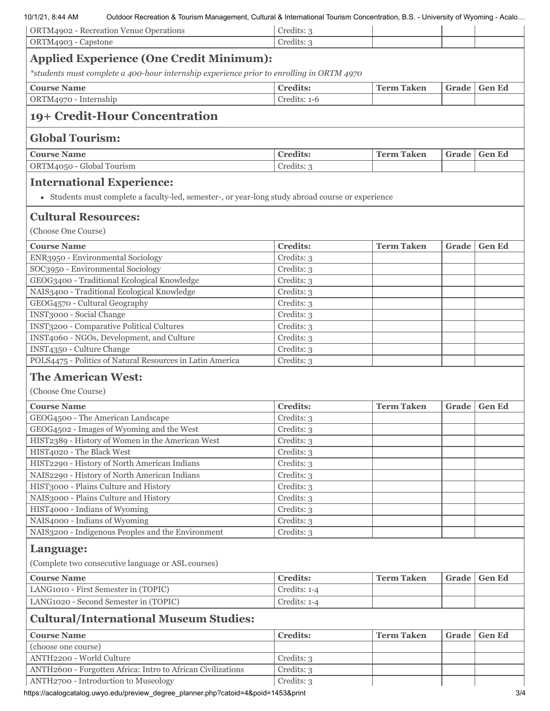#### 10/1/21, 8:44 AM Outdoor Recreation & Tourism Management, Cultural & International Tourism Concentration, B.S. - University of Wyoming - Acalo…

| ORTM4902 - Recreation Venue Operations                                                            | Credits: 3               |                   |       |               |  |
|---------------------------------------------------------------------------------------------------|--------------------------|-------------------|-------|---------------|--|
| ORTM4903 - Capstone                                                                               | Credits: 3               |                   |       |               |  |
| <b>Applied Experience (One Credit Minimum):</b>                                                   |                          |                   |       |               |  |
| *students must complete a 400-hour internship experience prior to enrolling in ORTM 4970          |                          |                   |       |               |  |
| <b>Course Name</b>                                                                                | <b>Credits:</b>          | <b>Term Taken</b> | Grade | <b>Gen Ed</b> |  |
| ORTM4970 - Internship                                                                             | Credits: 1-6             |                   |       |               |  |
| 19+ Credit-Hour Concentration                                                                     |                          |                   |       |               |  |
| <b>Global Tourism:</b>                                                                            |                          |                   |       |               |  |
| <b>Course Name</b>                                                                                | <b>Credits:</b>          | <b>Term Taken</b> | Grade | <b>Gen Ed</b> |  |
| ORTM4050 - Global Tourism                                                                         | Credits: 3               |                   |       |               |  |
| <b>International Experience:</b>                                                                  |                          |                   |       |               |  |
| • Students must complete a faculty-led, semester-, or year-long study abroad course or experience |                          |                   |       |               |  |
| <b>Cultural Resources:</b><br>(Choose One Course)                                                 |                          |                   |       |               |  |
|                                                                                                   |                          |                   |       |               |  |
| <b>Course Name</b>                                                                                | <b>Credits:</b>          | <b>Term Taken</b> | Grade | <b>Gen Ed</b> |  |
| ENR3950 - Environmental Sociology<br>SOC3950 - Environmental Sociology                            | Credits: 3               |                   |       |               |  |
|                                                                                                   | Credits: 3               |                   |       |               |  |
| GEOG3400 - Traditional Ecological Knowledge                                                       | Credits: 3               |                   |       |               |  |
| NAIS3400 - Traditional Ecological Knowledge<br>GEOG4570 - Cultural Geography                      | Credits: 3               |                   |       |               |  |
| INST3000 - Social Change                                                                          | Credits: 3<br>Credits: 3 |                   |       |               |  |
| INST3200 - Comparative Political Cultures                                                         | Credits: 3               |                   |       |               |  |
| INST4060 - NGOs, Development, and Culture                                                         | Credits: 3               |                   |       |               |  |
| INST4350 - Culture Change                                                                         | Credits: 3               |                   |       |               |  |
| POLS4475 - Politics of Natural Resources in Latin America                                         | Credits: 3               |                   |       |               |  |
|                                                                                                   |                          |                   |       |               |  |
| <b>The American West:</b><br>(Choose One Course)                                                  |                          |                   |       |               |  |
|                                                                                                   | <b>Credits:</b>          | <b>Term Taken</b> |       | <b>Gen Ed</b> |  |
| <b>Course Name</b>                                                                                |                          |                   | Grade |               |  |
| GEOG4500 - The American Landscape<br>GEOG4502 - Images of Wyoming and the West                    | Credits: 3<br>Credits: 3 |                   |       |               |  |
| HIST2389 - History of Women in the American West                                                  | Credits: 3               |                   |       |               |  |
| HIST4020 - The Black West                                                                         | Credits: 3               |                   |       |               |  |
| HIST2290 - History of North American Indians                                                      | Credits: 3               |                   |       |               |  |
| NAIS2290 - History of North American Indians                                                      | Credits: 3               |                   |       |               |  |
| HIST3000 - Plains Culture and History                                                             | Credits: 3               |                   |       |               |  |
| NAIS3000 - Plains Culture and History                                                             | Credits: 3               |                   |       |               |  |
| HIST4000 - Indians of Wyoming                                                                     | Credits: 3               |                   |       |               |  |
| NAIS4000 - Indians of Wyoming                                                                     | Credits: 3               |                   |       |               |  |
| NAIS3200 - Indigenous Peoples and the Environment                                                 | Credits: 3               |                   |       |               |  |
| Language:                                                                                         |                          |                   |       |               |  |
| (Complete two consecutive language or ASL courses)                                                |                          |                   |       |               |  |
| <b>Course Name</b>                                                                                | <b>Credits:</b>          | <b>Term Taken</b> | Grade | <b>Gen Ed</b> |  |
| LANG1010 - First Semester in (TOPIC)                                                              | Credits: 1-4             |                   |       |               |  |
| LANG1020 - Second Semester in (TOPIC)                                                             | Credits: 1-4             |                   |       |               |  |
| <b>Cultural/International Museum Studies:</b>                                                     |                          |                   |       |               |  |
| <b>Course Name</b>                                                                                | <b>Credits:</b>          | <b>Term Taken</b> | Grade | <b>Gen Ed</b> |  |
| (choose one course)                                                                               |                          |                   |       |               |  |
| ANTH2200 - World Culture                                                                          | Credits: 3               |                   |       |               |  |
| ANTH2600 - Forgotten Africa: Intro to African Civilizations                                       | Credits: 3               |                   |       |               |  |
| ANTH2700 - Introduction to Museology                                                              | Credits: 3               |                   |       |               |  |

https://acalogcatalog.uwyo.edu/preview\_degree\_planner.php?catoid=4&poid=1453&print 3/4